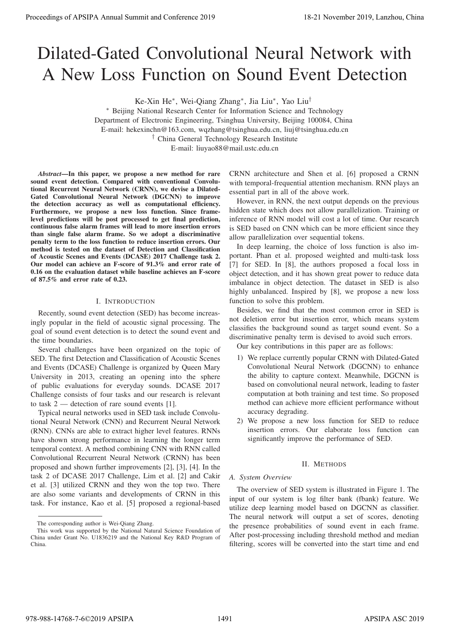# Dilated-Gated Convolutional Neural Network with A New Loss Function on Sound Event Detection

Ke-Xin He∗, Wei-Qiang Zhang∗, Jia Liu∗, Yao Liu†

∗ Beijing National Research Center for Information Science and Technology Department of Electronic Engineering, Tsinghua University, Beijing 100084, China E-mail: hekexinchn@163.com, wqzhang@tsinghua.edu.cn, liuj@tsinghua.edu.cn † China General Technology Research Institute

E-mail: liuyao88@mail.ustc.edu.cn

*Abstract*—In this paper, we propose a new method for rare sound event detection. Compared with conventional Convolutional Recurrent Neural Network (CRNN), we devise a Dilated-Gated Convolutional Neural Network (DGCNN) to improve the detection accuracy as well as computational efficiency. Furthermore, we propose a new loss function. Since framelevel predictions will be post processed to get final prediction, continuous false alarm frames will lead to more insertion errors than single false alarm frame. So we adopt a discriminative penalty term to the loss function to reduce insertion errors. Our method is tested on the dataset of Detection and Classification of Acoustic Scenes and Events (DCASE) 2017 Challenge task 2. Our model can achieve an F-score of 91.3% and error rate of 0.16 on the evaluation dataset while baseline achieves an F-score of 87.5% and error rate of 0.23. Proceedings of APSIPA Annual Summit at Co-Conce 2019<br>
Dialected-Gated Convey Lincoln November 2019<br>
Dialected-Gated Convey Lincoln November 2019<br>
A New Loose Function on Sound Event interactions of Northern November 2019<br>

## I. INTRODUCTION

Recently, sound event detection (SED) has become increasingly popular in the field of acoustic signal processing. The goal of sound event detection is to detect the sound event and the time boundaries.

Several challenges have been organized on the topic of SED. The first Detection and Classification of Acoustic Scenes and Events (DCASE) Challenge is organized by Queen Mary University in 2013, creating an opening into the sphere of public evaluations for everyday sounds. DCASE 2017 Challenge consists of four tasks and our research is relevant to task 2 — detection of rare sound events [1].

Typical neural networks used in SED task include Convolutional Neural Network (CNN) and Recurrent Neural Network (RNN). CNNs are able to extract higher level features. RNNs have shown strong performance in learning the longer term temporal context. A method combining CNN with RNN called Convolutional Recurrent Neural Network (CRNN) has been proposed and shown further improvements [2], [3], [4]. In the task 2 of DCASE 2017 Challenge, Lim et al. [2] and Cakir et al. [3] utilized CRNN and they won the top two. There are also some variants and developments of CRNN in this task. For instance, Kao et al. [5] proposed a regional-based CRNN architecture and Shen et al. [6] proposed a CRNN with temporal-frequential attention mechanism. RNN plays an essential part in all of the above work.

However, in RNN, the next output depends on the previous hidden state which does not allow parallelization. Training or inference of RNN model will cost a lot of time. Our research is SED based on CNN which can be more efficient since they allow parallelization over sequential tokens.

In deep learning, the choice of loss function is also important. Phan et al. proposed weighted and multi-task loss [7] for SED. In [8], the authors proposed a focal loss in object detection, and it has shown great power to reduce data imbalance in object detection. The dataset in SED is also highly unbalanced. Inspired by [8], we propose a new loss function to solve this problem.

Besides, we find that the most common error in SED is not deletion error but insertion error, which means system classifies the background sound as target sound event. So a discriminative penalty term is devised to avoid such errors.

Our key contributions in this paper are as follows:

- 1) We replace currently popular CRNN with Dilated-Gated Convolutional Neural Network (DGCNN) to enhance the ability to capture context. Meanwhile, DGCNN is based on convolutional neural network, leading to faster computation at both training and test time. So proposed method can achieve more efficient performance without accuracy degrading.
- 2) We propose a new loss function for SED to reduce insertion errors. Our elaborate loss function can significantly improve the performance of SED.

## II. METHODS

## *A. System Overview*

The overview of SED system is illustrated in Figure 1. The input of our system is log filter bank (fbank) feature. We utilize deep learning model based on DGCNN as classifier. The neural network will output a set of scores, denoting the presence probabilities of sound event in each frame. After post-processing including threshold method and median filtering, scores will be converted into the start time and end

The corresponding author is Wei-Qiang Zhang.

This work was supported by the National Natural Science Foundation of China under Grant No. U1836219 and the National Key R&D Program of China.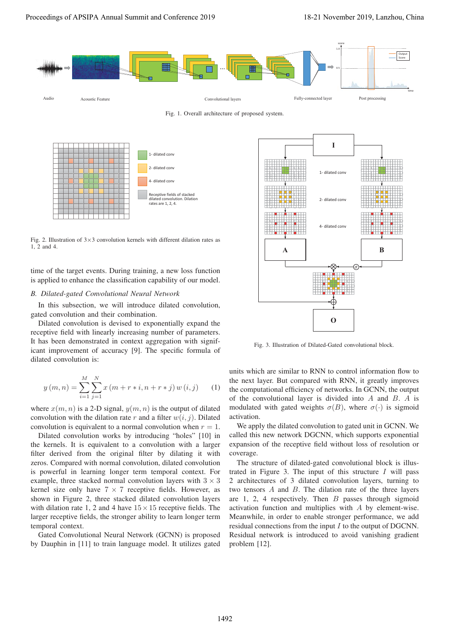

Fig. 1. Overall architecture of proposed system.



Fig. 2. Illustration of  $3\times3$  convolution kernels with different dilation rates as 1, 2 and 4.

time of the target events. During training, a new loss function is applied to enhance the classification capability of our model.

## *B. Dilated-gated Convolutional Neural Network*

In this subsection, we will introduce dilated convolution, gated convolution and their combination.

Dilated convolution is devised to exponentially expand the receptive field with linearly increasing number of parameters. It has been demonstrated in context aggregation with significant improvement of accuracy [9]. The specific formula of dilated convolution is:

$$
y(m, n) = \sum_{i=1}^{M} \sum_{j=1}^{N} x(m + r * i, n + r * j) w(i, j)
$$
 (1)

where  $x(m, n)$  is a 2-D signal,  $y(m, n)$  is the output of dilated convolution with the dilation rate r and a filter  $w(i, j)$ . Dilated convolution is equivalent to a normal convolution when  $r = 1$ .

Dilated convolution works by introducing "holes" [10] in the kernels. It is equivalent to a convolution with a larger filter derived from the original filter by dilating it with zeros. Compared with normal convolution, dilated convolution is powerful in learning longer term temporal context. For example, three stacked normal convolution layers with  $3 \times 3$ kernel size only have  $7 \times 7$  receptive fields. However, as shown in Figure 2, three stacked dilated convolution layers with dilation rate 1, 2 and 4 have  $15 \times 15$  receptive fields. The larger receptive fields, the stronger ability to learn longer term temporal context.

Gated Convolutional Neural Network (GCNN) is proposed by Dauphin in [11] to train language model. It utilizes gated



Fig. 3. Illustration of Dilated-Gated convolutional block.

units which are similar to RNN to control information flow to the next layer. But compared with RNN, it greatly improves the computational efficiency of networks. In GCNN, the output of the convolutional layer is divided into A and B. A is modulated with gated weights  $\sigma(B)$ , where  $\sigma(\cdot)$  is sigmoid activation.

We apply the dilated convolution to gated unit in GCNN. We called this new network DGCNN, which supports exponential expansion of the receptive field without loss of resolution or coverage.

The structure of dilated-gated convolutional block is illustrated in Figure 3. The input of this structure  $I$  will pass 2 architectures of 3 dilated convolution layers, turning to two tensors A and B. The dilation rate of the three layers are 1, 2, 4 respectively. Then  $B$  passes through sigmoid activation function and multiplies with A by element-wise. Meanwhile, in order to enable stronger performance, we add residual connections from the input I to the output of DGCNN. Residual network is introduced to avoid vanishing gradient problem [12].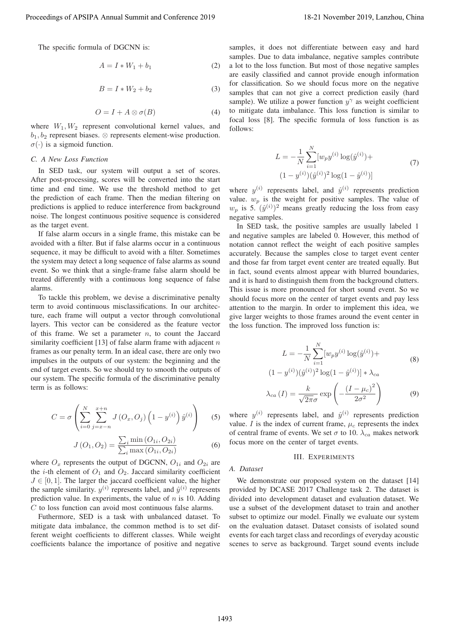The specific formula of DGCNN is:

$$
A = I * W_1 + b_1 \tag{2}
$$

$$
B = I * W_2 + b_2 \tag{3}
$$

$$
O = I + A \otimes \sigma(B) \tag{4}
$$

where  $W_1, W_2$  represent convolutional kernel values, and  $b_1, b_2$  represent biases.  $\otimes$  represents element-wise production.  $\sigma(\cdot)$  is a sigmoid function.

## *C. A New Loss Function*

In SED task, our system will output a set of scores. After post-processing, scores will be converted into the start time and end time. We use the threshold method to get the prediction of each frame. Then the median filtering on predictions is applied to reduce interference from background noise. The longest continuous positive sequence is considered as the target event.

If false alarm occurs in a single frame, this mistake can be avoided with a filter. But if false alarms occur in a continuous sequence, it may be difficult to avoid with a filter. Sometimes the system may detect a long sequence of false alarms as sound event. So we think that a single-frame false alarm should be treated differently with a continuous long sequence of false alarms.

To tackle this problem, we devise a discriminative penalty term to avoid continuous misclassifications. In our architecture, each frame will output a vector through convolutional layers. This vector can be considered as the feature vector of this frame. We set a parameter  $n$ , to count the Jaccard similarity coefficient [13] of false alarm frame with adjacent  $n$ frames as our penalty term. In an ideal case, there are only two impulses in the outputs of our system: the beginning and the end of target events. So we should try to smooth the outputs of our system. The specific formula of the discriminative penalty term is as follows:

$$
C = \sigma \left( \sum_{i=0}^{N} \sum_{j=x-n}^{x+n} J(Q_x, O_j) \left( 1 - y^{(i)} \right) \hat{y}^{(i)} \right)
$$
 (5)

$$
J(O_1, O_2) = \frac{\sum_i \min(O_{1i}, O_{2i})}{\sum_i \max(O_{1i}, O_{2i})}
$$
 (6)

where  $O_x$  represents the output of DGCNN,  $O_{1i}$  and  $O_{2i}$  are the *i*-th element of  $O_1$  and  $O_2$ . Jaccard similarity coefficient  $J \in [0, 1]$ . The larger the jaccard coefficient value, the higher the sample similarity.  $y^{(i)}$  represents label, and  $\hat{y}^{(i)}$  represents prediction value. In experiments, the value of  $n$  is 10. Adding C to loss function can avoid most continuous false alarms.

Futhermore, SED is a task with unbalanced dataset. To mitigate data imbalance, the common method is to set different weight coefficients to different classes. While weight coefficients balance the importance of positive and negative samples, it does not differentiate between easy and hard samples. Due to data imbalance, negative samples contribute a lot to the loss function. But most of those negative samples are easily classified and cannot provide enough information for classification. So we should focus more on the negative samples that can not give a correct prediction easily (hard sample). We utilize a power function  $y^{\gamma}$  as weight coefficient to mitigate data imbalance. This loss function is similar to focal loss [8]. The specific formula of loss function is as follows:

$$
L = -\frac{1}{N} \sum_{i=1}^{N} [w_p y^{(i)} \log(\hat{y}^{(i)}) + (1 - y^{(i)})(\hat{y}^{(i)})^2 \log(1 - \hat{y}^{(i)})]
$$
(7)

where  $y^{(i)}$  represents label, and  $\hat{y}^{(i)}$  represents prediction value.  $w_p$  is the weight for positive samples. The value of  $w_p$  is 5.  $(\hat{y}^{(i)})^2$  means greatly reducing the loss from easy negative samples.

In SED task, the positive samples are usually labeled 1 and negative samples are labeled 0. However, this method of notation cannot reflect the weight of each positive samples accurately. Because the samples close to target event center and those far from target event center are treated equally. But in fact, sound events almost appear with blurred boundaries, and it is hard to distinguish them from the background clutters. This issue is more pronounced for short sound event. So we should focus more on the center of target events and pay less attention to the margin. In order to implement this idea, we give larger weights to those frames around the event center in the loss function. The improved loss function is: Proceeding of APSIPA Annual Summit and Co-Clear and Summit and Summit and Summit and Summit and Summit and Summit and Summit and Summit and Summit and Summit and Summit and Summit and Summit and Summit and Summit and Summ

$$
L = -\frac{1}{N} \sum_{i=1}^{N} [w_p y^{(i)} \log(\hat{y}^{(i)}) +
$$
  
(8)

$$
(1 - y^{(i)})(\hat{y}^{(i)})^2 \log(1 - \hat{y}^{(i)}) \rvert * \lambda_{ca}
$$

$$
\lambda_{ca} (I) = \frac{k}{\sqrt{2\pi}\sigma} \exp\left(-\frac{(I - \mu_c)^2}{2\sigma^2}\right)
$$
(9)

where  $y^{(i)}$  represents label, and  $\hat{y}^{(i)}$  represents prediction value. *I* is the index of current frame,  $\mu_c$  represents the index of central frame of events. We set  $\sigma$  to 10.  $\lambda_{ca}$  makes network focus more on the center of target events.

#### III. EXPERIMENTS

#### *A. Dataset*

We demonstrate our proposed system on the dataset [14] provided by DCASE 2017 Challenge task 2. The dataset is divided into development dataset and evaluation dataset. We use a subset of the development dataset to train and another subset to optimize our model. Finally we evaluate our system on the evaluation dataset. Dataset consists of isolated sound events for each target class and recordings of everyday acoustic scenes to serve as background. Target sound events include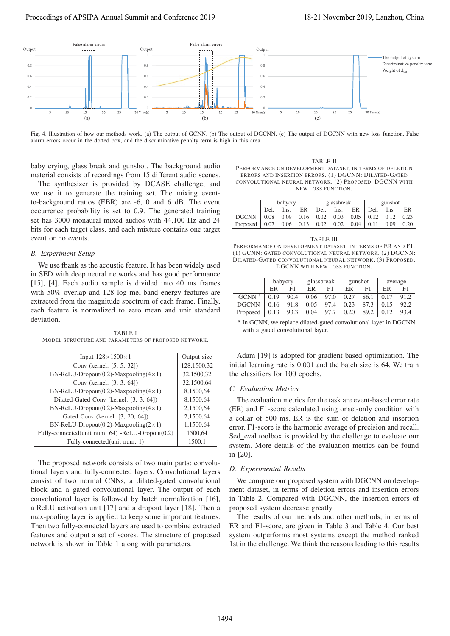

Fig. 4. Illustration of how our methods work. (a) The output of GCNN. (b) The output of DGCNN. (c) The output of DGCNN with new loss function. False alarm errors occur in the dotted box, and the discriminative penalty term is high in this area.

baby crying, glass break and gunshot. The background audio material consists of recordings from 15 different audio scenes.

The synthesizer is provided by DCASE challenge, and we use it to generate the training set. The mixing eventto-background ratios (EBR) are -6, 0 and 6 dB. The event occurrence probability is set to 0.9. The generated training set has 3000 monaural mixed audios with 44,100 Hz and 24 bits for each target class, and each mixture contains one target event or no events.

#### *B. Experiment Setup*

We use fbank as the acoustic feature. It has been widely used in SED with deep neural networks and has good performance [15], [4]. Each audio sample is divided into 40 ms frames with 50% overlap and 128 log mel-band energy features are extracted from the magnitude spectrum of each frame. Finally, each feature is normalized to zero mean and unit standard deviation.

TABLE I MODEL STRUCTURE AND PARAMETERS OF PROPOSED NETWORK.

| Input $128 \times 1500 \times 1$                 | Output size |
|--------------------------------------------------|-------------|
| Conv (kernel: [5, 5, 32])                        | 128,1500,32 |
| BN-ReLU-Dropout(0.2)-Maxpooling( $4 \times 1$ )  | 32,1500,32  |
| Conv (kernel: [3, 3, 64])                        | 32,1500,64  |
| BN-ReLU-Dropout(0.2)-Maxpooling( $4 \times 1$ )  | 8,1500,64   |
| Dilated-Gated Conv (kernel: [3, 3, 64])          | 8,1500,64   |
| BN-ReLU-Dropout(0.2)-Maxpooling( $4 \times 1$ )  | 2,1500,64   |
| Gated Conv (kernel: [3, 20, 64])                 | 2,1500,64   |
| BN-ReLU-Dropout(0.2)-Maxpooling( $2\times1$ )    | 1,1500,64   |
| Fully-connected(unit num: 64) -ReLU-Dropout(0.2) | 1500,64     |
| Fully-connected(unit num: 1)                     | 1500,1      |

The proposed network consists of two main parts: convolutional layers and fully-connected layers. Convolutional layers consist of two normal CNNs, a dilated-gated convolutional block and a gated convolutional layer. The output of each convolutional layer is followed by batch normalization [16], a ReLU activation unit [17] and a dropout layer [18]. Then a max-pooling layer is applied to keep some important features. Then two fully-connected layers are used to combine extracted features and output a set of scores. The structure of proposed network is shown in Table 1 along with parameters.

TABLE II PERFORMANCE ON DEVELOPMENT DATASET, IN TERMS OF DELETION ERRORS AND INSERTION ERRORS. (1) DGCNN: DILATED-GATED CONVOLUTIONAL NEURAL NETWORK. (2) PROPOSED: DGCNN WITH NEW LOSS FUNCTION.

|                                                                                             | babycry |      |    | glassbreak |      |                                        | gunshot |      |      |
|---------------------------------------------------------------------------------------------|---------|------|----|------------|------|----------------------------------------|---------|------|------|
|                                                                                             | Del.    | Ins. | ER | Del.       | Ins. | ER                                     | Del.    | Ins. | ER   |
| DGCNN $\vert$ 0.08 0.09 0.16 $\vert$ 0.02 0.03 0.05 $\vert$ 0.12 0.12                       |         |      |    |            |      |                                        |         |      | 0.23 |
| Proposed $\begin{array}{ c c c c c c } \hline 0.07 & 0.06 & 0.13 & 0.02 \hline \end{array}$ |         |      |    |            |      | $0.02 \quad 0.04 \mid 0.11 \quad 0.09$ |         |      | 0.20 |

TABLE III PERFORMANCE ON DEVELOPMENT DATASET, IN TERMS OF ER AND F1. (1) GCNN: GATED CONVOLUTIONAL NEURAL NETWORK. (2) DGCNN: DILATED-GATED CONVOLUTIONAL NEURAL NETWORK. (3) PROPOSED: DGCNN WITH NEW LOSS FUNCTION.

|                   |      | babycry |      | glassbreak | gunshot |      | average |      |
|-------------------|------|---------|------|------------|---------|------|---------|------|
|                   | ER   | F1      | ER   | F1         | ER      | F1   | ER      | F1   |
| GCNN <sup>a</sup> | 0.19 | 90.4    | 0.06 | 97.0       | 0.27    | 86.1 | 0.17    | 91.2 |
| <b>DGCNN</b>      | 0.16 | 91.8    | 0.05 | 97.4       | 0.23    | 87.3 | 0.15    | 92.2 |
| Proposed          | 0.13 | 93.3    | 0.04 | 97.7       | 0.20    | 89.2 | 0.12    | 93.4 |

<sup>a</sup> In GCNN, we replace dilated-gated convolutional layer in DGCNN with a gated convolutional layer.

Adam [19] is adopted for gradient based optimization. The initial learning rate is 0.001 and the batch size is 64. We train the classifiers for 100 epochs.

## *C. Evaluation Metrics*

The evaluation metrics for the task are event-based error rate (ER) and F1-score calculated using onset-only condition with a collar of 500 ms. ER is the sum of deletion and insertion error. F1-score is the harmonic average of precision and recall. Sed eval toolbox is provided by the challenge to evaluate our system. More details of the evaluation metrics can be found in [20].

# *D. Experimental Results*

We compare our proposed system with DGCNN on development dataset, in terms of deletion errors and insertion errors in Table 2. Compared with DGCNN, the insertion errors of proposed system decrease greatly.

The results of our methods and other methods, in terms of ER and F1-score, are given in Table 3 and Table 4. Our best system outperforms most systems except the method ranked 1st in the challenge. We think the reasons leading to this results